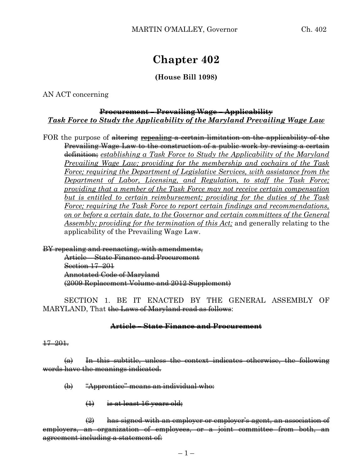# **Chapter 402**

### **(House Bill 1098)**

AN ACT concerning

## **Procurement – Prevailing Wage – Applicability** *Task Force to Study the Applicability of the Maryland Prevailing Wage Law*

FOR the purpose of altering repealing a certain limitation on the applicability of the Prevailing Wage Law to the construction of a public work by revising a certain definition; *establishing a Task Force to Study the Applicability of the Maryland Prevailing Wage Law; providing for the membership and cochairs of the Task Force; requiring the Department of Legislative Services, with assistance from the Department of Labor, Licensing, and Regulation, to staff the Task Force; providing that a member of the Task Force may not receive certain compensation but is entitled to certain reimbursement; providing for the duties of the Task Force; requiring the Task Force to report certain findings and recommendations, on or before a certain date, to the Governor and certain committees of the General Assembly; providing for the termination of this Act;* and generally relating to the applicability of the Prevailing Wage Law.

BY repealing and reenacting, with amendments,

Article – State Finance and Procurement Section 17–201 Annotated Code of Maryland (2009 Replacement Volume and 2012 Supplement)

SECTION 1. BE IT ENACTED BY THE GENERAL ASSEMBLY OF MARYLAND, That the Laws of Maryland read as follows:

#### **Article – State Finance and Procurement**

#### 17–201.

 $(a)$  In this subtitle, unless the context indicates otherwise, the following words have the meanings indicated.

- (b) "Apprentice" means an individual who:
	- (1) is at least 16 years old;

(2) has signed with an employer or employer's agent, an association of employers, an organization of employees, or a joint committee from both, an agreement including a statement of: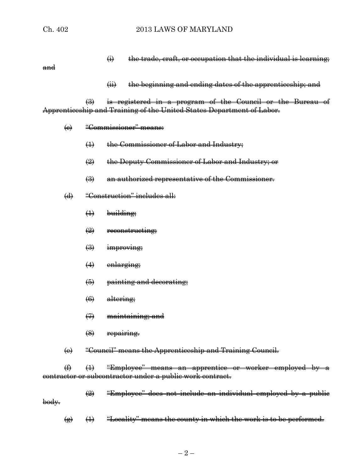$\leftrightarrow$  the trade, craft, or occupation that the individual is learning;

and

(ii) the beginning and ending dates of the apprenticeship; and

(3) is registered in a program of the Council or the Bureau of Apprenticeship and Training of the United States Department of Labor.

- (c) "Commissioner" means:
	- (1) the Commissioner of Labor and Industry;
	- (2) the Deputy Commissioner of Labor and Industry; or
	- (3) an authorized representative of the Commissioner.
- (d) "Construction" includes all:
	- $\leftrightarrow$  building;
	- $\left(2\right)$  reconstructing;
	- $\left(\frac{1}{2}\right)$  improving;
	- (4) enlarging;
	- (5) painting and decorating;
	- (6) altering;
	- (7) maintaining; and
	- $$(8)$  **repairing.**$
- (e) "Council" means the Apprenticeship and Training Council.

 $(1)$  (1) "Employee" means an apprentice or worker employed by contractor or subcontractor under a public work contract.

- (2) "Employee" does not include an individual employed by a public body.
	- $\overline{f}$  (1) "Locality" means the county in which the work is to be performed.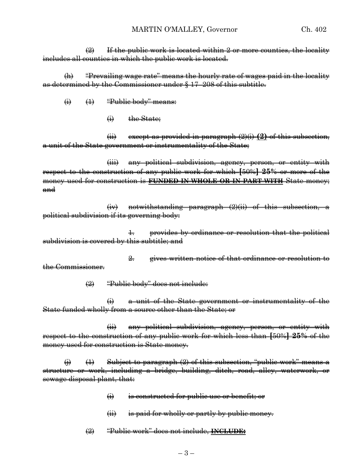$\left( 2 \right)$  If the public work is located within 2 or more counties, the locality includes all counties in which the public work is located.

(h) "Prevailing wage rate" means the hourly rate of wages paid in the locality as determined by the Commissioner under § 17–208 of this subtitle.

- $\leftrightarrow$   $\leftrightarrow$  "Public body" means:
	- (i) the State;

(ii) except as provided in paragraph (2)(i) **(2)** of this subsection, a unit of the State government or instrumentality of the State;

(iii) any political subdivision, agency, person, or entity with respect to the construction of any public work for which **[**50%**] 25%** or more of the money used for construction is **FUNDED IN WHOLE OR IN PART WITH** State money; and

(iv) notwithstanding paragraph (2)(ii) of this subsection, a political subdivision if its governing body:

1. provides by ordinance or resolution that the political subdivision is covered by this subtitle; and

2. gives written notice of that ordinance or resolution to the Commissioner.

(2) "Public body" does not include:

(i) a unit of the State government or instrumentality of the State funded wholly from a source other than the State; or

(ii) any political subdivision, agency, person, or entity with respect to the construction of any public work for which less than **[**50%**] 25%** of the money used for construction is State money.

(i)  $(1)$  Subject to paragraph (2) of this subsection, "public work" means a structure or work, including a bridge, building, ditch, road, alley, waterwork, or sewage disposal plant, that:

- (i) is constructed for public use or benefit; or
- (iii) is paid for wholly or partly by public money.
- (2) "Public work" does not include, **INCLUDE:**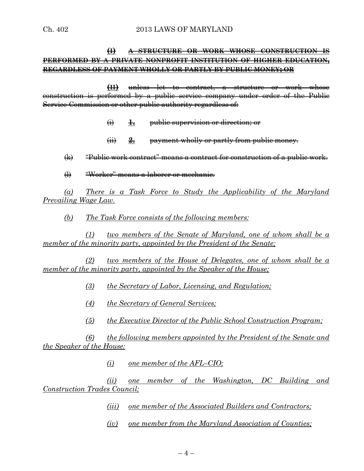# **(I) A STRUCTURE OR WORK WHOSE CONSTRUCTION IS PERFORMED BY A PRIVATE NONPROFIT INSTITUTION OF HIGHER EDUCATION, REGARDLESS OF PAYMENT WHOLLY OR PARTLY BY PUBLIC MONEY; OR**

**(II)** unless let to contract, a structure or work whose construction is performed by a public service company under order of the Public Service Commission or other public authority regardless of:

- (i) **1.** public supervision or direction; or
- (ii) **2.** payment wholly or partly from public money.
- (k) "Public work contract" means a contract for construction of a public work.
- (l) "Worker" means a laborer or mechanic.

*(a) There is a Task Force to Study the Applicability of the Maryland Prevailing Wage Law.*

*(b) The Task Force consists of the following members:*

*(1) two members of the Senate of Maryland, one of whom shall be a member of the minority party, appointed by the President of the Senate;*

*(2) two members of the House of Delegates, one of whom shall be a member of the minority party, appointed by the Speaker of the House;*

- *(3) the Secretary of Labor, Licensing, and Regulation;*
- *(4) the Secretary of General Services;*
- *(5) the Executive Director of the Public School Construction Program;*

*(6) the following members appointed by the President of the Senate and the Speaker of the House:*

*(i) one member of the AFL–CIO;*

*(ii) one member of the Washington, DC Building and Construction Trades Council;*

- *(iii) one member of the Associated Builders and Contractors;*
- *(iv) one member from the Maryland Association of Counties;*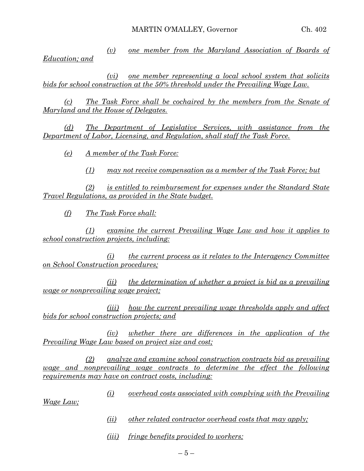*(v) one member from the Maryland Association of Boards of Education; and*

*(vi) one member representing a local school system that solicits bids for school construction at the 50% threshold under the Prevailing Wage Law.*

*(c) The Task Force shall be cochaired by the members from the Senate of Maryland and the House of Delegates.*

*(d) The Department of Legislative Services, with assistance from the Department of Labor, Licensing, and Regulation, shall staff the Task Force.*

*(e) A member of the Task Force:*

*(1) may not receive compensation as a member of the Task Force; but*

*(2) is entitled to reimbursement for expenses under the Standard State Travel Regulations, as provided in the State budget.*

*(f) The Task Force shall:*

*(1) examine the current Prevailing Wage Law and how it applies to school construction projects, including:*

*(i) the current process as it relates to the Interagency Committee on School Construction procedures;*

*(ii) the determination of whether a project is bid as a prevailing wage or nonprevailing wage project;*

*(iii) how the current prevailing wage thresholds apply and affect bids for school construction projects; and*

*(iv) whether there are differences in the application of the Prevailing Wage Law based on project size and cost;*

*(2) analyze and examine school construction contracts bid as prevailing wage and nonprevailing wage contracts to determine the effect the following requirements may have on contract costs, including:*

*(i) overhead costs associated with complying with the Prevailing* 

*Wage Law;*

- *(ii) other related contractor overhead costs that may apply;*
- *(iii) fringe benefits provided to workers;*